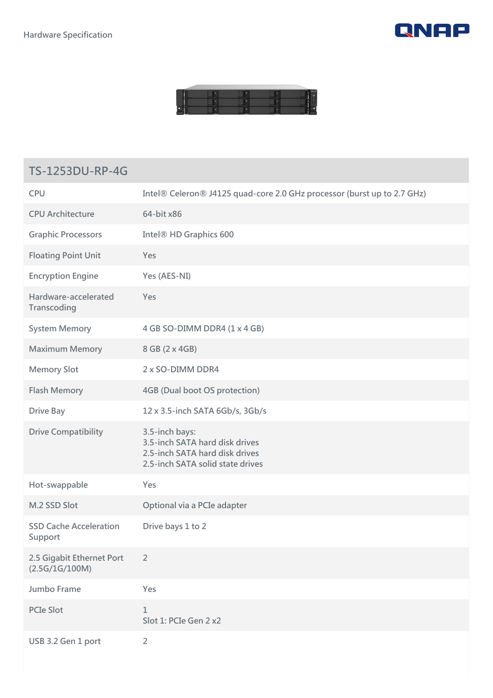



## **TS-1253DU-RP-4G**

| <b>CPU</b>                                  | Intel® Celeron® J4125 quad-core 2.0 GHz processor (burst up to 2.7 GHz)                                                |
|---------------------------------------------|------------------------------------------------------------------------------------------------------------------------|
| <b>CPU Architecture</b>                     | 64-bit x86                                                                                                             |
| <b>Graphic Processors</b>                   | Intel <sup>®</sup> HD Graphics 600                                                                                     |
| <b>Floating Point Unit</b>                  | Yes                                                                                                                    |
| <b>Encryption Engine</b>                    | Yes (AES-NI)                                                                                                           |
| Hardware-accelerated<br>Transcoding         | Yes                                                                                                                    |
| <b>System Memory</b>                        | 4 GB SO-DIMM DDR4 (1 x 4 GB)                                                                                           |
| <b>Maximum Memory</b>                       | 8 GB (2 x 4GB)                                                                                                         |
| <b>Memory Slot</b>                          | 2 x SO-DIMM DDR4                                                                                                       |
| <b>Flash Memory</b>                         | <b>4GB (Dual boot OS protection)</b>                                                                                   |
| <b>Drive Bay</b>                            | 12 x 3.5-inch SATA 6Gb/s, 3Gb/s                                                                                        |
| <b>Drive Compatibility</b>                  | 3.5-inch bays:<br>3.5-inch SATA hard disk drives<br>2.5-inch SATA hard disk drives<br>2.5-inch SATA solid state drives |
| Hot-swappable                               | Yes                                                                                                                    |
| M.2 SSD Slot                                | Optional via a PCIe adapter                                                                                            |
| <b>SSD Cache Acceleration</b><br>Support    | Drive bays 1 to 2                                                                                                      |
| 2.5 Gigabit Ethernet Port<br>(2.5G/1G/100M) | $\overline{2}$                                                                                                         |
| Jumbo Frame                                 | Yes                                                                                                                    |
| <b>PCIe Slot</b>                            | $\mathbf 1$<br>Slot 1: PCIe Gen 2 x2                                                                                   |
| USB 3.2 Gen 1 port                          | $\overline{2}$                                                                                                         |